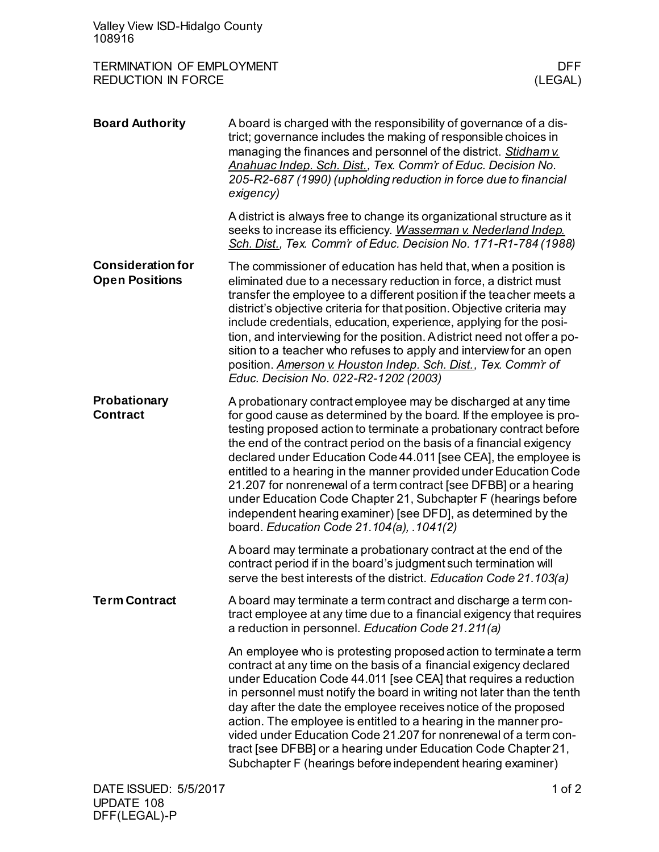| Valley View ISD-Hidalgo County<br>108916                      |                                                                                                                                                                                                                                                                                                                                                                                                                                                                                                                                                                                                                                                                                |                       |
|---------------------------------------------------------------|--------------------------------------------------------------------------------------------------------------------------------------------------------------------------------------------------------------------------------------------------------------------------------------------------------------------------------------------------------------------------------------------------------------------------------------------------------------------------------------------------------------------------------------------------------------------------------------------------------------------------------------------------------------------------------|-----------------------|
| <b>TERMINATION OF EMPLOYMENT</b><br><b>REDUCTION IN FORCE</b> |                                                                                                                                                                                                                                                                                                                                                                                                                                                                                                                                                                                                                                                                                | <b>DFF</b><br>(LEGAL) |
| <b>Board Authority</b>                                        | A board is charged with the responsibility of governance of a dis-<br>trict; governance includes the making of responsible choices in<br>managing the finances and personnel of the district. Stidham v.<br>Anahuac Indep. Sch. Dist., Tex. Comm'r of Educ. Decision No.<br>205-R2-687 (1990) (upholding reduction in force due to financial<br>exigency)                                                                                                                                                                                                                                                                                                                      |                       |
|                                                               | A district is always free to change its organizational structure as it<br>seeks to increase its efficiency. Wasserman v. Nederland Indep.<br>Sch. Dist., Tex. Comm'r of Educ. Decision No. 171-R1-784 (1988)                                                                                                                                                                                                                                                                                                                                                                                                                                                                   |                       |
| <b>Consideration for</b><br><b>Open Positions</b>             | The commissioner of education has held that, when a position is<br>eliminated due to a necessary reduction in force, a district must<br>transfer the employee to a different position if the teacher meets a<br>district's objective criteria for that position. Objective criteria may<br>include credentials, education, experience, applying for the posi-<br>tion, and interviewing for the position. A district need not offer a po-<br>sition to a teacher who refuses to apply and interview for an open<br>position. Amerson v. Houston Indep. Sch. Dist., Tex. Comm'r of<br>Educ. Decision No. 022-R2-1202 (2003)                                                     |                       |
| Probationary<br><b>Contract</b>                               | A probationary contract employee may be discharged at any time<br>for good cause as determined by the board. If the employee is pro-<br>testing proposed action to terminate a probationary contract before<br>the end of the contract period on the basis of a financial exigency<br>declared under Education Code 44.011 [see CEA], the employee is<br>entitled to a hearing in the manner provided under Education Code<br>21.207 for nonrenewal of a term contract [see DFBB] or a hearing<br>under Education Code Chapter 21, Subchapter F (hearings before<br>independent hearing examiner) [see DFD], as determined by the<br>board. Education Code 21.104(a), .1041(2) |                       |
|                                                               | A board may terminate a probationary contract at the end of the<br>contract period if in the board's judgment such termination will<br>serve the best interests of the district. Education Code 21.103(a)                                                                                                                                                                                                                                                                                                                                                                                                                                                                      |                       |
| <b>Term Contract</b>                                          | A board may terminate a term contract and discharge a term con-<br>tract employee at any time due to a financial exigency that requires<br>a reduction in personnel. Education Code 21.211(a)                                                                                                                                                                                                                                                                                                                                                                                                                                                                                  |                       |
|                                                               | An employee who is protesting proposed action to terminate a term<br>contract at any time on the basis of a financial exigency declared<br>under Education Code 44.011 [see CEA] that requires a reduction<br>in personnel must notify the board in writing not later than the tenth<br>day after the date the employee receives notice of the proposed<br>action. The employee is entitled to a hearing in the manner pro-<br>vided under Education Code 21.207 for nonrenewal of a term con-<br>tract [see DFBB] or a hearing under Education Code Chapter 21,<br>Subchapter F (hearings before independent hearing examiner)                                                |                       |
| DATE ISSUED: 5/5/2017                                         |                                                                                                                                                                                                                                                                                                                                                                                                                                                                                                                                                                                                                                                                                | 1 of 2                |